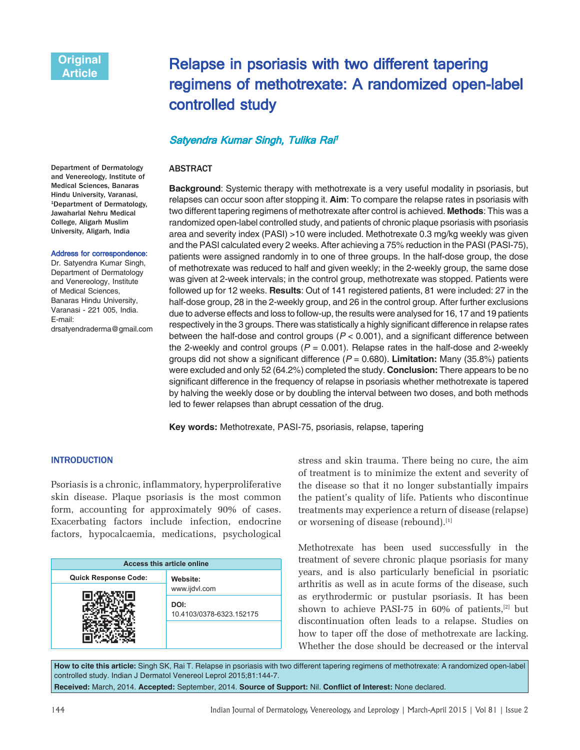# Relapse in psoriasis with two different tapering regimens of methotrexate: A randomized open-label controlled study

# Satyendra Kumar Singh, Tulika Rai<sup>i</sup>

#### ABSTRACT

Department of Dermatology and Venereology, Institute of Medical Sciences, Banaras Hindu University, Varanasi, 1Department of Dermatology, Jawaharlal Nehru Medical College, Aligarh Muslim University, Aligarh, India

#### Address for correspondence:

Dr. Satyendra Kumar Singh, Department of Dermatology and Venereology, Institute of Medical Sciences, Banaras Hindu University, Varanasi - 221 005, India. E-mail: drsatyendraderma@gmail.com **Background**: Systemic therapy with methotrexate is a very useful modality in psoriasis, but relapses can occur soon after stopping it. **Aim**: To compare the relapse rates in psoriasis with two different tapering regimens of methotrexate after control is achieved. **Methods**: This was a randomized open-label controlled study, and patients of chronic plaque psoriasis with psoriasis area and severity index (PASI) >10 were included. Methotrexate 0.3 mg/kg weekly was given and the PASI calculated every 2 weeks. After achieving a 75% reduction in the PASI (PASI-75), patients were assigned randomly in to one of three groups. In the half-dose group, the dose of methotrexate was reduced to half and given weekly; in the 2-weekly group, the same dose was given at 2-week intervals; in the control group, methotrexate was stopped. Patients were followed up for 12 weeks. **Results**: Out of 141 registered patients, 81 were included: 27 in the half-dose group, 28 in the 2-weekly group, and 26 in the control group. After further exclusions due to adverse effects and loss to follow-up, the results were analysed for 16, 17 and 19 patients respectively in the 3 groups. There was statistically a highly significant difference in relapse rates between the half-dose and control groups  $(P < 0.001)$ , and a significant difference between the 2-weekly and control groups ( $P = 0.001$ ). Relapse rates in the half-dose and 2-weekly groups did not show a significant difference ( $P = 0.680$ ). **Limitation:** Many (35.8%) patients were excluded and only 52 (64.2%) completed the study. **Conclusion:** There appears to be no significant difference in the frequency of relapse in psoriasis whether methotrexate is tapered by halving the weekly dose or by doubling the interval between two doses, and both methods led to fewer relapses than abrupt cessation of the drug.

**Key words:** Methotrexate, PASI-75, psoriasis, relapse, tapering

#### **INTRODUCTION**

Psoriasis is a chronic, inflammatory, hyperproliferative skin disease. Plaque psoriasis is the most common form, accounting for approximately 90% of cases. Exacerbating factors include infection, endocrine factors, hypocalcaemia, medications, psychological

| <b>Access this article online</b> |                                  |
|-----------------------------------|----------------------------------|
| <b>Quick Response Code:</b>       | Website:                         |
|                                   | www.ijdvl.com                    |
|                                   | DOI:<br>10.4103/0378-6323.152175 |

stress and skin trauma. There being no cure, the aim of treatment is to minimize the extent and severity of the disease so that it no longer substantially impairs the patient's quality of life. Patients who discontinue treatments may experience a return of disease (relapse) or worsening of disease (rebound).[1]

Methotrexate has been used successfully in the treatment of severe chronic plaque psoriasis for many years, and is also particularly beneficial in psoriatic arthritis as well as in acute forms of the disease, such as erythrodermic or pustular psoriasis. It has been shown to achieve PASI-75 in 60% of patients, $[2]$  but discontinuation often leads to a relapse. Studies on how to taper off the dose of methotrexate are lacking. Whether the dose should be decreased or the interval

**How to cite this article:** Singh SK, Rai T. Relapse in psoriasis with two different tapering regimens of methotrexate: A randomized open-label controlled study. Indian J Dermatol Venereol Leprol 2015;81:144-7. **Received:** March, 2014. **Accepted:** September, 2014. **Source of Support:** Nil. **Confl ict of Interest:** None declared.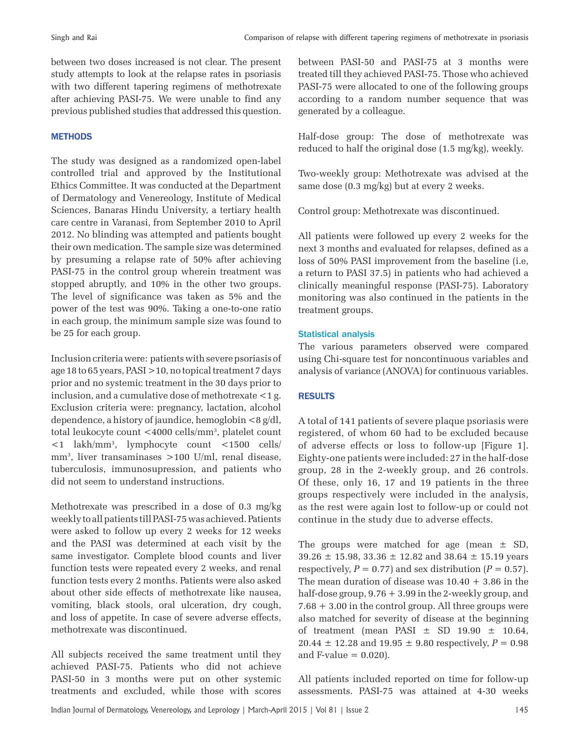between two doses increased is not clear. The present study attempts to look at the relapse rates in psoriasis with two different tapering regimens of methotrexate after achieving PASI-75. We were unable to find any previous published studies that addressed this question.

# **METHODS**

The study was designed as a randomized open-label controlled trial and approved by the Institutional Ethics Committee. It was conducted at the Department of Dermatology and Venereology, Institute of Medical Sciences, Banaras Hindu University, a tertiary health care centre in Varanasi, from September 2010 to April 2012. No blinding was attempted and patients bought their own medication. The sample size was determined by presuming a relapse rate of 50% after achieving PASI-75 in the control group wherein treatment was stopped abruptly, and 10% in the other two groups. The level of significance was taken as 5% and the power of the test was 90%. Taking a one-to-one ratio in each group, the minimum sample size was found to be 25 for each group.

Inclusion criteria were: patients with severe psoriasis of age 18 to 65 years, PASI >10, no topical treatment 7 days prior and no systemic treatment in the 30 days prior to inclusion, and a cumulative dose of methotrexate <1 g. Exclusion criteria were: pregnancy, lactation, alcohol dependence, a history of jaundice, hemoglobin <8 g/dl, total leukocyte count <4000 cells/mm3 , platelet count <1 lakh/mm3 , lymphocyte count <1500 cells/ mm3 , liver transaminases >100 U/ml, renal disease, tuberculosis, immunosupression, and patients who did not seem to understand instructions.

Methotrexate was prescribed in a dose of 0.3 mg/kg weekly to all patients till PASI-75 was achieved. Patients were asked to follow up every 2 weeks for 12 weeks and the PASI was determined at each visit by the same investigator. Complete blood counts and liver function tests were repeated every 2 weeks, and renal function tests every 2 months. Patients were also asked about other side effects of methotrexate like nausea, vomiting, black stools, oral ulceration, dry cough, and loss of appetite. In case of severe adverse effects, methotrexate was discontinued.

All subjects received the same treatment until they achieved PASI-75. Patients who did not achieve PASI-50 in 3 months were put on other systemic treatments and excluded, while those with scores between PASI-50 and PASI-75 at 3 months were treated till they achieved PASI-75. Those who achieved PASI-75 were allocated to one of the following groups according to a random number sequence that was generated by a colleague.

Half-dose group: The dose of methotrexate was reduced to half the original dose (1.5 mg/kg), weekly.

Two-weekly group: Methotrexate was advised at the same dose (0.3 mg/kg) but at every 2 weeks.

Control group: Methotrexate was discontinued.

All patients were followed up every 2 weeks for the next 3 months and evaluated for relapses, defined as a loss of 50% PASI improvement from the baseline (i.e, a return to PASI 37.5) in patients who had achieved a clinically meaningful response (PASI-75). Laboratory monitoring was also continued in the patients in the treatment groups.

# Statistical analysis

The various parameters observed were compared using Chi-square test for noncontinuous variables and analysis of variance (ANOVA) for continuous variables.

# RESULTS

A total of 141 patients of severe plaque psoriasis were registered, of whom 60 had to be excluded because of adverse effects or loss to follow-up [Figure 1]. Eighty-one patients were included: 27 in the half-dose group, 28 in the 2-weekly group, and 26 controls. Of these, only 16, 17 and 19 patients in the three groups respectively were included in the analysis, as the rest were again lost to follow-up or could not continue in the study due to adverse effects.

The groups were matched for age (mean  $\pm$  SD, 39.26 ± 15.98, 33.36 ± 12.82 and 38.64 ± 15.19 years respectively,  $P = 0.77$  and sex distribution  $(P = 0.57)$ . The mean duration of disease was  $10.40 + 3.86$  in the half-dose group, 9.76 + 3.99 in the 2-weekly group, and 7.68 + 3.00 in the control group. All three groups were also matched for severity of disease at the beginning of treatment (mean PASI  $\pm$  SD 19.90  $\pm$  10.64, 20.44  $\pm$  12.28 and 19.95  $\pm$  9.80 respectively,  $P = 0.98$ and  $F-value = 0.020$ .

All patients included reported on time for follow-up assessments. PASI-75 was attained at 4-30 weeks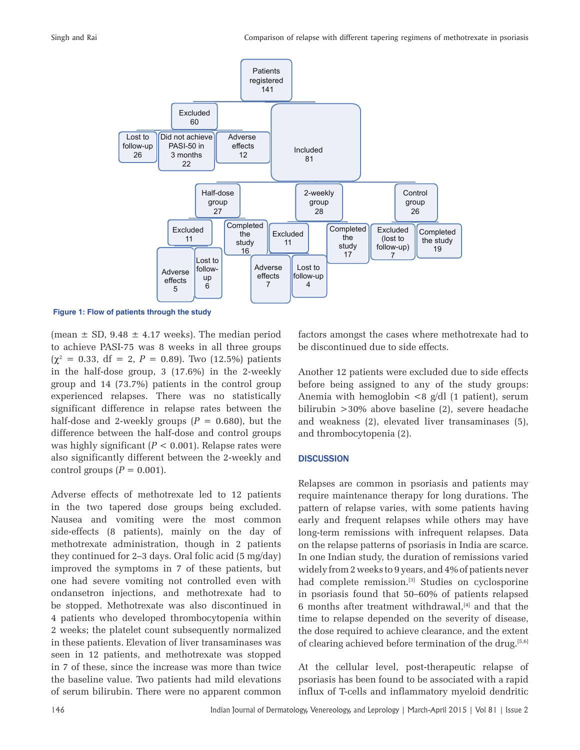

 **Figure 1: Flow of patients through the study**

(mean  $\pm$  SD, 9.48  $\pm$  4.17 weeks). The median period to achieve PASI-75 was 8 weeks in all three groups  $(\chi^2 = 0.33, df = 2, P = 0.89)$ . Two (12.5%) patients in the half-dose group, 3 (17.6%) in the 2-weekly group and 14 (73.7%) patients in the control group experienced relapses. There was no statistically significant difference in relapse rates between the half-dose and 2-weekly groups  $(P = 0.680)$ , but the difference between the half-dose and control groups was highly significant (*P* < 0.001). Relapse rates were also significantly different between the 2-weekly and control groups  $(P = 0.001)$ .

Adverse effects of methotrexate led to 12 patients in the two tapered dose groups being excluded. Nausea and vomiting were the most common side-effects (8 patients), mainly on the day of methotrexate administration, though in 2 patients they continued for 2–3 days. Oral folic acid (5 mg/day) improved the symptoms in 7 of these patients, but one had severe vomiting not controlled even with ondansetron injections, and methotrexate had to be stopped. Methotrexate was also discontinued in 4 patients who developed thrombocytopenia within 2 weeks; the platelet count subsequently normalized in these patients. Elevation of liver transaminases was seen in 12 patients, and methotrexate was stopped in 7 of these, since the increase was more than twice the baseline value. Two patients had mild elevations of serum bilirubin. There were no apparent common factors amongst the cases where methotrexate had to be discontinued due to side effects.

Another 12 patients were excluded due to side effects before being assigned to any of the study groups: Anemia with hemoglobin  $\langle 8 \text{ g/d} |$  (1 patient), serum bilirubin >30% above baseline (2), severe headache and weakness (2), elevated liver transaminases (5), and thrombocytopenia (2).

#### **DISCUSSION**

Relapses are common in psoriasis and patients may require maintenance therapy for long durations. The pattern of relapse varies, with some patients having early and frequent relapses while others may have long-term remissions with infrequent relapses. Data on the relapse patterns of psoriasis in India are scarce. In one Indian study, the duration of remissions varied widely from 2 weeks to 9 years, and 4% of patients never had complete remission.<sup>[3]</sup> Studies on cyclosporine in psoriasis found that 50–60% of patients relapsed 6 months after treatment withdrawal, $[4]$  and that the time to relapse depended on the severity of disease, the dose required to achieve clearance, and the extent of clearing achieved before termination of the drug.<sup>[5,6]</sup>

At the cellular level, post-therapeutic relapse of psoriasis has been found to be associated with a rapid influx of T-cells and inflammatory myeloid dendritic